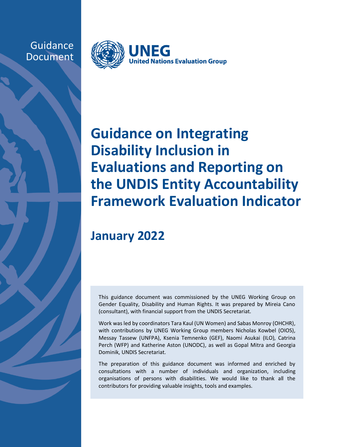**Guidance** Document



# **Guidance on Integrating Disability Inclusion in Evaluations and Reporting on the UNDIS Entity Accountability Framework Evaluation Indicator**

# **January 2022**

This guidance document was commissioned by the UNEG Working Group on Gender Equality, Disability and Human Rights. It was prepared by Mireia Cano (consultant), with financial support from the UNDIS Secretariat.

Work was led by coordinators Tara Kaul (UN Women) and Sabas Monroy (OHCHR), with contributions by UNEG Working Group members Nicholas Kowbel (OIOS), Messay Tassew (UNFPA), Ksenia Temnenko (GEF), Naomi Asukai (ILO), Catrina Perch (WFP) and Katherine Aston (UNODC), as well as Gopal Mitra and Georgia Dominik, UNDIS Secretariat.

The preparation of this guidance document was informed and enriched by consultations with a number of individuals and organization, including organisations of persons with disabilities. We would like to thank all the contributors for providing valuable insights, tools and examples.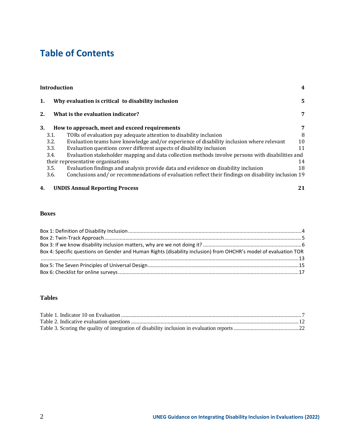# **Table of Contents**

|                                    | <b>Introduction</b>               |                                                                                                    | 4  |
|------------------------------------|-----------------------------------|----------------------------------------------------------------------------------------------------|----|
| 1.                                 |                                   | Why evaluation is critical to disability inclusion                                                 |    |
| 2.                                 | What is the evaluation indicator? | 7                                                                                                  |    |
| 3.                                 |                                   | How to approach, meet and exceed requirements                                                      | 7  |
|                                    | 3.1.                              | TORs of evaluation pay adequate attention to disability inclusion                                  | 8  |
|                                    | 3.2.                              | Evaluation teams have knowledge and/or experience of disability inclusion where relevant           | 10 |
|                                    | 3.3.                              | Evaluation questions cover different aspects of disability inclusion                               | 11 |
|                                    | 3.4.                              | Evaluation stakeholder mapping and data collection methods involve persons with disabilities and   |    |
| their representative organisations |                                   |                                                                                                    | 14 |
|                                    | 3.5.                              | Evaluation findings and analysis provide data and evidence on disability inclusion                 | 18 |
|                                    | 3.6.                              | Conclusions and/or recommendations of evaluation reflect their findings on disability inclusion 19 |    |
| 4.                                 |                                   | <b>UNDIS Annual Reporting Process</b>                                                              | 21 |

#### **Boxes**

| Box 4: Specific questions on Gender and Human Rights (disability inclusion) from OHCHR's model of evaluation TOR |  |
|------------------------------------------------------------------------------------------------------------------|--|
|                                                                                                                  |  |
|                                                                                                                  |  |
|                                                                                                                  |  |

#### **Tables**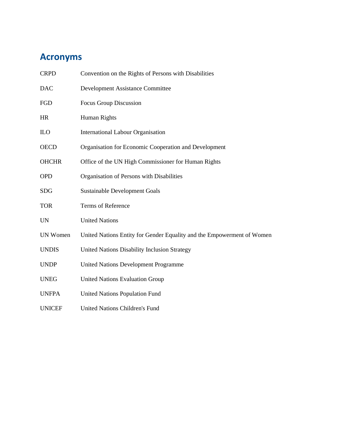# **Acronyms**

| <b>CRPD</b>     | Convention on the Rights of Persons with Disabilities                  |
|-----------------|------------------------------------------------------------------------|
| <b>DAC</b>      | <b>Development Assistance Committee</b>                                |
| <b>FGD</b>      | Focus Group Discussion                                                 |
| <b>HR</b>       | <b>Human Rights</b>                                                    |
| $_{\text{ILO}}$ | <b>International Labour Organisation</b>                               |
| <b>OECD</b>     | Organisation for Economic Cooperation and Development                  |
| <b>OHCHR</b>    | Office of the UN High Commissioner for Human Rights                    |
| <b>OPD</b>      | Organisation of Persons with Disabilities                              |
| <b>SDG</b>      | <b>Sustainable Development Goals</b>                                   |
| <b>TOR</b>      | Terms of Reference                                                     |
| <b>UN</b>       | <b>United Nations</b>                                                  |
| <b>UN Women</b> | United Nations Entity for Gender Equality and the Empowerment of Women |
| <b>UNDIS</b>    | United Nations Disability Inclusion Strategy                           |
| <b>UNDP</b>     | <b>United Nations Development Programme</b>                            |
| <b>UNEG</b>     | <b>United Nations Evaluation Group</b>                                 |
| <b>UNFPA</b>    | <b>United Nations Population Fund</b>                                  |
| <b>UNICEF</b>   | <b>United Nations Children's Fund</b>                                  |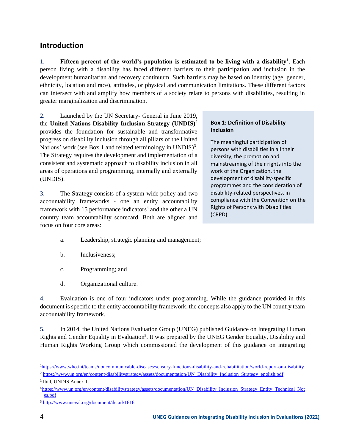## <span id="page-3-0"></span>**Introduction**

1. **Fifteen percent of the world's population is estimated to be living with a disability<sup>1</sup>. Each** person living with a disability has faced different barriers to their participation and inclusion in the development humanitarian and recovery continuum. Such barriers may be based on identity (age, gender, ethnicity, location and race), attitudes, or physical and communication limitations. These different factors can intersect with and amplify how members of a society relate to persons with disabilities, resulting in greater marginalization and discrimination.

2. Launched by the UN Secretary- General in June 2019, the **United Nations Disability Inclusion Strategy (UNDIS)**<sup>2</sup> provides the foundation for sustainable and transformative progress on disability inclusion through all pillars of the United Nations' work (see Box 1 and related terminology in UNDIS)<sup>3</sup>. The Strategy requires the development and implementation of a consistent and systematic approach to disability inclusion in all areas of operations and programming, internally and externally (UNDIS).

3. The Strategy consists of a system-wide policy and two accountability frameworks - one an entity accountability framework with 15 performance indicators<sup>4</sup> and the other a UN country team accountability scorecard. Both are aligned and focus on four core areas:

<span id="page-3-1"></span>**Box 1: Definition of Disability Inclusion**

The meaningful participation of persons with disabilities in all their diversity, the promotion and mainstreaming of their rights into the work of the Organization, the development of disability-specific programmes and the consideration of disability-related perspectives, in compliance with the Convention on the Rights of Persons with Disabilities (CRPD).

- a. Leadership, strategic planning and management;
- b. Inclusiveness;
- c. Programming; and
- d. Organizational culture.

4. Evaluation is one of four indicators under programming. While the guidance provided in this document is specific to the entity accountability framework, the concepts also apply to the UN country team accountability framework.

5. In 2014, the United Nations Evaluation Group (UNEG) published Guidance on Integrating Human Rights and Gender Equality in Evaluation<sup>5</sup>. It was prepared by the UNEG Gender Equality, Disability and Human Rights Working Group which commissioned the development of this guidance on integrating

<sup>&</sup>lt;sup>1</sup><https://www.who.int/teams/noncommunicable-diseases/sensory-functions-disability-and-rehabilitation/world-report-on-disability>

<sup>2</sup> [https://www.un.org/en/content/disabilitystrategy/assets/documentation/UN\\_Disability\\_Inclusion\\_Strategy\\_english.pdf](https://www.un.org/en/content/disabilitystrategy/assets/documentation/UN_Disability_Inclusion_Strategy_english.pdf)

<sup>3</sup> Ibid, UNDIS Annex 1.

<sup>4</sup>[https://www.un.org/en/content/disabilitystrategy/assets/documentation/UN\\_Disability\\_Inclusion\\_Strategy\\_Entity\\_Technical\\_Not](https://www.un.org/en/content/disabilitystrategy/assets/documentation/UN_Disability_Inclusion_Strategy_Entity_Technical_Notes.pdf) [es.pdf](https://www.un.org/en/content/disabilitystrategy/assets/documentation/UN_Disability_Inclusion_Strategy_Entity_Technical_Notes.pdf)

<sup>5</sup> <http://www.uneval.org/document/detail/1616>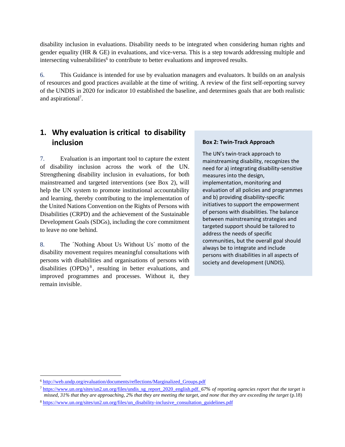disability inclusion in evaluations. Disability needs to be integrated when considering human rights and gender equality (HR & GE) in evaluations, and vice-versa. This is a step towards addressing multiple and intersecting vulnerabilities<sup>6</sup> to contribute to better evaluations and improved results.

6. This Guidance is intended for use by evaluation managers and evaluators. It builds on an analysis of resources and good practices available at the time of writing. A review of the first self-reporting survey of the UNDIS in 2020 for indicator 10 established the baseline, and determines goals that are both realistic and aspirational<sup>7</sup>.

# <span id="page-4-0"></span>**1. Why evaluation is critical to disability inclusion**

7. Evaluation is an important tool to capture the extent of disability inclusion across the work of the UN. Strengthening disability inclusion in evaluations, for both mainstreamed and targeted interventions (see Box 2), will help the UN system to promote institutional accountability and learning, thereby contributing to the implementation of the United Nations Convention on the Rights of Persons with Disabilities (CRPD) and the achievement of the Sustainable Development Goals (SDGs), including the core commitment to leave no one behind.

8. The ´Nothing About Us Without Us´ motto of the disability movement requires meaningful consultations with persons with disabilities and organisations of persons with disabilities  $(OPDs)^8$ , resulting in better evaluations, and improved programmes and processes. Without it, they remain invisible.

#### <span id="page-4-1"></span>**Box 2: Twin-Track Approach**

The UN's twin-track approach to mainstreaming disability, recognizes the need for a) integrating disability-sensitive measures into the design, implementation, monitoring and evaluation of all policies and programmes and b) providing disability-specific initiatives to support the empowerment of persons with disabilities. The balance between mainstreaming strategies and targeted support should be tailored to address the needs of specific communities, but the overall goal should always be to integrate and include persons with disabilities in all aspects of society and development (UNDIS).

<sup>6</sup> [http://web.undp.org/evaluation/documents/reflections/Marginalized\\_Groups.pdf](http://web.undp.org/evaluation/documents/reflections/Marginalized_Groups.pdf)

<sup>7</sup> [https://www.un.org/sites/un2.un.org/files/undis\\_sg\\_report\\_2020\\_english.pdf.](https://www.un.org/sites/un2.un.org/files/undis_sg_report_2020_english.pdf) *67% of* reporting *agencies report that the target is missed, 31% that they are approaching, 2% that they are meeting the target, and none that they are exceeding the target* (p.18)

<sup>&</sup>lt;sup>8</sup> [https://www.un.org/sites/un2.un.org/files/un\\_disability-inclusive\\_consultation\\_guidelines.pdf](https://www.un.org/sites/un2.un.org/files/un_disability-inclusive_consultation_guidelines.pdf)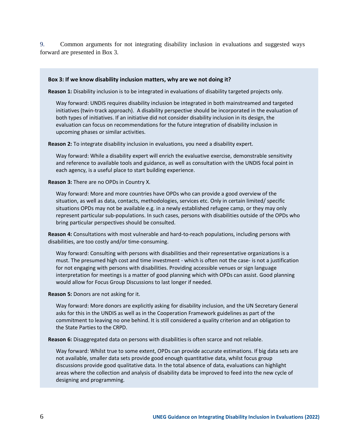9. Common arguments for not integrating disability inclusion in evaluations and suggested ways forward are presented in Box 3.

#### <span id="page-5-0"></span>**Box 3: If we know disability inclusion matters, why are we not doing it?**

**Reason 1:** Disability inclusion is to be integrated in evaluations of disability targeted projects only.

Way forward: UNDIS requires disability inclusion be integrated in both mainstreamed and targeted initiatives (twin-track approach). A disability perspective should be incorporated in the evaluation of both types of initiatives. If an initiative did not consider disability inclusion in its design, the evaluation can focus on recommendations for the future integration of disability inclusion in upcoming phases or similar activities.

**Reason 2:** To integrate disability inclusion in evaluations, you need a disability expert.

Way forward: While a disability expert will enrich the evaluative exercise, demonstrable sensitivity and reference to available tools and guidance, as well as consultation with the UNDIS focal point in each agency, is a useful place to start building experience.

**Reason 3:** There are no OPDs in Country X.

Way forward: More and more countries have OPDs who can provide a good overview of the situation, as well as data, contacts, methodologies, services etc. Only in certain limited/ specific situations OPDs may not be available e.g. in a newly established refugee camp, or they may only represent particular sub-populations. In such cases, persons with disabilities outside of the OPDs who bring particular perspectives should be consulted.

**Reason 4:** Consultations with most vulnerable and hard-to-reach populations, including persons with disabilities, are too costly and/or time-consuming.

Way forward: Consulting with persons with disabilities and their representative organizations is a must. The presumed high cost and time investment - which is often not the case- is not a justification for not engaging with persons with disabilities. Providing accessible venues or sign language interpretation for meetings is a matter of good planning which with OPDs can assist. Good planning would allow for Focus Group Discussions to last longer if needed.

**Reason 5:** Donors are not asking for it.

Way forward: More donors are explicitly asking for disability inclusion, and the UN Secretary General asks for this in the UNDIS as well as in the Cooperation Framework guidelines as part of the commitment to leaving no one behind. It is still considered a quality criterion and an obligation to the State Parties to the CRPD.

**Reason 6:** Disaggregated data on persons with disabilities is often scarce and not reliable.

Way forward: Whilst true to some extent, OPDs can provide accurate estimations. If big data sets are not available, smaller data sets provide good enough quantitative data, whilst focus group discussions provide good qualitative data. In the total absence of data, evaluations can highlight areas where the collection and analysis of disability data be improved to feed into the new cycle of designing and programming.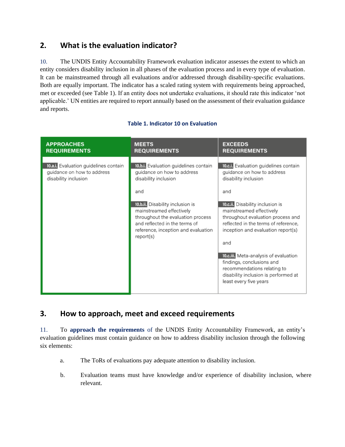# <span id="page-6-0"></span>**2. What is the evaluation indicator?**

10. The UNDIS Entity Accountability Framework evaluation indicator assesses the extent to which an entity considers disability inclusion in all phases of the evaluation process and in every type of evaluation. It can be mainstreamed through all evaluations and/or addressed through disability-specific evaluations. Both are equally important. The indicator has a scaled rating system with requirements being approached, met or exceeded (see Table 1). If an entity does not undertake evaluations, it should rate this indicator 'not applicable.' UN entities are required to report annually based on the assessment of their evaluation guidance and reports.

<span id="page-6-2"></span>

| <b>APPROACHES</b><br><b>REQUIREMENTS</b>                                                    | <b>EXCEEDS</b><br><b>MEETS</b><br><b>REQUIREMENTS</b><br><b>REQUIREMENTS</b>                                                                                                                                                                                                                 |                                                                                                                                                                                                                                                                                                                                                                                                                                                                     |
|---------------------------------------------------------------------------------------------|----------------------------------------------------------------------------------------------------------------------------------------------------------------------------------------------------------------------------------------------------------------------------------------------|---------------------------------------------------------------------------------------------------------------------------------------------------------------------------------------------------------------------------------------------------------------------------------------------------------------------------------------------------------------------------------------------------------------------------------------------------------------------|
| 10.a.i. Evaluation guidelines contain<br>guidance on how to address<br>disability inclusion | 10.b.i. Evaluation guidelines contain<br>guidance on how to address<br>disability inclusion<br>and<br>10.b.ii. Disability inclusion is<br>mainstreamed effectively<br>throughout the evaluation process<br>and reflected in the terms of<br>reference, inception and evaluation<br>report(s) | 10.c.i. Evaluation guidelines contain<br>guidance on how to address<br>disability inclusion<br>and<br>10.c.ii. Disability inclusion is<br>mainstreamed effectively<br>throughout evaluation process and<br>reflected in the terms of reference,<br>inception and evaluation report(s)<br>and<br>10.c.iii. Meta-analysis of evaluation<br>findings, conclusions and<br>recommendations relating to<br>disability inclusion is performed at<br>least every five years |

#### **Table 1. Indicator 10 on Evaluation**

# <span id="page-6-1"></span>**3. How to approach, meet and exceed requirements**

11. To **approach the requirements** of the UNDIS Entity Accountability Framework, an entity's evaluation guidelines must contain guidance on how to address disability inclusion through the following six elements:

- a. The ToRs of evaluations pay adequate attention to disability inclusion.
- b. Evaluation teams must have knowledge and/or experience of disability inclusion, where relevant.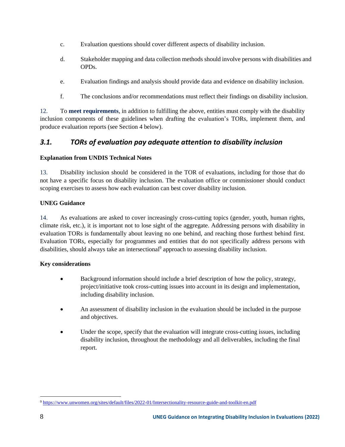- c. Evaluation questions should cover different aspects of disability inclusion.
- d. Stakeholder mapping and data collection methods should involve persons with disabilities and OPDs.
- e. Evaluation findings and analysis should provide data and evidence on disability inclusion.
- f. The conclusions and/or recommendations must reflect their findings on disability inclusion.

12. To **meet requirements**, in addition to fulfilling the above, entities must comply with the disability inclusion components of these guidelines when drafting the evaluation's TORs, implement them, and produce evaluation reports (see Section 4 below).

### <span id="page-7-0"></span>*3.1. TORs of evaluation pay adequate attention to disability inclusion*

#### **Explanation from UNDIS Technical Notes**

13. Disability inclusion should be considered in the TOR of evaluations, including for those that do not have a specific focus on disability inclusion. The evaluation office or commissioner should conduct scoping exercises to assess how each evaluation can best cover disability inclusion.

#### **UNEG Guidance**

14. As evaluations are asked to cover increasingly cross-cutting topics (gender, youth, human rights, climate risk, etc.), it is important not to lose sight of the aggregate. Addressing persons with disability in evaluation TORs is fundamentally about leaving no one behind, and reaching those furthest behind first. Evaluation TORs, especially for programmes and entities that do not specifically address persons with disabilities, should always take an intersectional<sup>9</sup> approach to assessing disability inclusion.

#### **Key considerations**

- Background information should include a brief description of how the policy, strategy, project/initiative took cross-cutting issues into account in its design and implementation, including disability inclusion.
- An assessment of disability inclusion in the evaluation should be included in the purpose and objectives.
- Under the scope, specify that the evaluation will integrate cross-cutting issues, including disability inclusion, throughout the methodology and all deliverables, including the final report.

<sup>9</sup> <https://www.unwomen.org/sites/default/files/2022-01/Intersectionality-resource-guide-and-toolkit-en.pdf>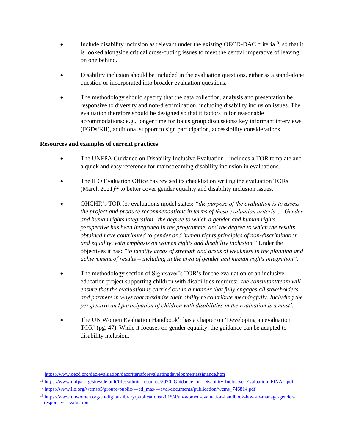- Include disability inclusion as relevant under the existing OECD-DAC criteria<sup>10</sup>, so that it is looked alongside critical cross-cutting issues to meet the central imperative of leaving on one behind.
- Disability inclusion should be included in the evaluation questions, either as a stand-alone question or incorporated into broader evaluation questions.
- The methodology should specify that the data collection, analysis and presentation be responsive to diversity and non-discrimination, including disability inclusion issues. The evaluation therefore should be designed so that it factors in for reasonable accommodations: e.g., longer time for focus group discussions/ key informant interviews (FGDs/KII), additional support to sign participation, accessibility considerations.

#### **Resources and examples of current practices**

- The UNFPA Guidance on Disability Inclusive Evaluation<sup>11</sup> includes a TOR template and a quick and easy reference for mainstreaming disability inclusion in evaluations.
- The ILO Evaluation Office has revised its checklist on writing the evaluation TORs (March  $2021$ )<sup>12</sup> to better cover gender equality and disability inclusion issues.
- OHCHR's TOR for evaluations model states: *"the purpose of the evaluation is to assess the project and produce recommendations in terms of these evaluation criteria… Gender and human rights integration– the degree to which a gender and human rights perspective has been integrated in the programme, and the degree to which the results obtained have contributed to gender and human rights principles of non-discrimination and equality, with emphasis on women rights and disability inclusion.*" Under the objectives it has: *"to identify areas of strength and areas of weakness in the planning and achievement of results – including in the area of gender and human rights integration".*
- The methodology section of Sightsaver's TOR's for the evaluation of an inclusive education project supporting children with disabilities requires: *'the consultant/team will ensure that the evaluation is carried out in a manner that fully engages all stakeholders and partners in ways that maximize their ability to contribute meaningfully. Including the perspective and participation of children with disabilities in the evaluation is a must'.*
- The UN Women Evaluation Handbook<sup>13</sup> has a chapter on 'Developing an evaluation TOR' (pg. 47). While it focuses on gender equality, the guidance can be adapted to disability inclusion.

<sup>10</sup> <https://www.oecd.org/dac/evaluation/daccriteriaforevaluatingdevelopmentassistance.htm>

<sup>&</sup>lt;sup>11</sup> [https://www.unfpa.org/sites/default/files/admin-resource/2020\\_Guidance\\_on\\_Disability-Inclusive\\_Evaluation\\_FINAL.pdf](https://www.unfpa.org/sites/default/files/admin-resource/2020_Guidance_on_Disability-Inclusive_Evaluation_FINAL.pdf)

<sup>12</sup> [https://www.ilo.org/wcmsp5/groups/public/---ed\\_mas/---eval/documents/publication/wcms\\_746814.pdf](https://www.ilo.org/wcmsp5/groups/public/---ed_mas/---eval/documents/publication/wcms_746814.pdf)

<sup>13</sup> [https://www.unwomen.org/en/digital-library/publications/2015/4/un-women-evaluation-handbook-how-to-manage-gender](https://www.unwomen.org/en/digital-library/publications/2015/4/un-women-evaluation-handbook-how-to-manage-gender-responsive-evaluation)[responsive-evaluation](https://www.unwomen.org/en/digital-library/publications/2015/4/un-women-evaluation-handbook-how-to-manage-gender-responsive-evaluation)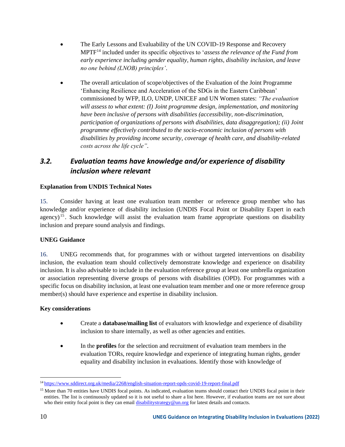- The Early Lessons and Evaluability of the UN COVID-19 Response and Recovery MPTF<sup>14</sup> included under its specific objectives to '*assess the relevance of the Fund from early experience including gender equality, human rights, disability inclusion, and leave no one behind (LNOB) principles'*.
- The overall articulation of scope/objectives of the Evaluation of the Joint Programme 'Enhancing Resilience and Acceleration of the SDGs in the Eastern Caribbean' commissioned by WFP, ILO, UNDP, UNICEF and UN Women states: *"The evaluation will assess to what extent: (I) Joint programme design, implementation, and monitoring have been inclusive of persons with disabilities (accessibility, non-discrimination, participation of organizations of persons with disabilities, data disaggregation); (ii) Joint programme effectively contributed to the socio-economic inclusion of persons with disabilities by providing income security, coverage of health care, and disability-related costs across the life cycle".*

# <span id="page-9-0"></span>*3.2. Evaluation teams have knowledge and/or experience of disability inclusion where relevant*

#### **Explanation from UNDIS Technical Notes**

15. Consider having at least one evaluation team member or reference group member who has knowledge and/or experience of disability inclusion (UNDIS Focal Point or Disability Expert in each agency)<sup>15</sup>. Such knowledge will assist the evaluation team frame appropriate questions on disability inclusion and prepare sound analysis and findings.

#### **UNEG Guidance**

16. UNEG recommends that, for programmes with or without targeted interventions on disability inclusion, the evaluation team should collectively demonstrate knowledge and experience on disability inclusion. It is also advisable to include in the evaluation reference group at least one umbrella organization or association representing diverse groups of persons with disabilities (OPD). For programmes with a specific focus on disability inclusion, at least one evaluation team member and one or more reference group member(s) should have experience and expertise in disability inclusion.

#### **Key considerations**

- Create a **database/mailing list** of evaluators with knowledge and experience of disability inclusion to share internally, as well as other agencies and entities.
- In the **profiles** for the selection and recruitment of evaluation team members in the evaluation TORs, require knowledge and experience of integrating human rights, gender equality and disability inclusion in evaluations. Identify those with knowledge of

<sup>14</sup> <https://www.sddirect.org.uk/media/2268/english-situation-report-opds-covid-19-report-final.pdf>

<sup>&</sup>lt;sup>15</sup> More than 70 entities have UNDIS focal points. As indicated, evaluation teams should contact their UNDIS focal point in their entities. The list is continuously updated so it is not useful to share a list here. However, if evaluation teams are not sure about who their entity focal point is they can emai[l disabilitystrategy@un.org](mailto:disabilitystrategy@un.org) for latest details and contacts.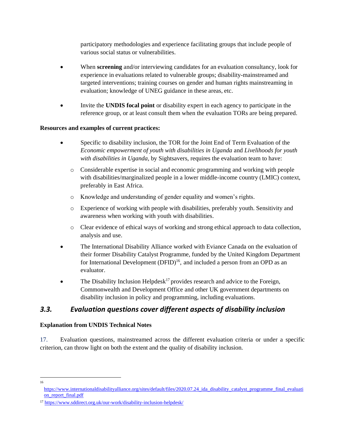participatory methodologies and experience facilitating groups that include people of various social status or vulnerabilities.

- When **screening** and/or interviewing candidates for an evaluation consultancy, look for experience in evaluations related to vulnerable groups; disability-mainstreamed and targeted interventions; training courses on gender and human rights mainstreaming in evaluation; knowledge of UNEG guidance in these areas, etc.
- Invite the **UNDIS focal point** or disability expert in each agency to participate in the reference group, or at least consult them when the evaluation TORs are being prepared.

#### **Resources and examples of current practices:**

- Specific to disability inclusion, the TOR for the Joint End of Term Evaluation of the *Economic empowerment of youth with disabilities in Uganda* and *Livelihoods for youth with disabilities in Uganda*, by Sightsavers, requires the evaluation team to have:
	- o Considerable expertise in social and economic programming and working with people with disabilities/marginalized people in a lower middle-income country (LMIC) context, preferably in East Africa.
	- o Knowledge and understanding of gender equality and women's rights.
	- o Experience of working with people with disabilities, preferably youth. Sensitivity and awareness when working with youth with disabilities.
	- o Clear evidence of ethical ways of working and strong ethical approach to data collection, analysis and use.
- The International Disability Alliance worked with Eviance Canada on the evaluation of their former Disability Catalyst Programme, funded by the United Kingdom Department for International Development  $(DFID)^{16}$ , and included a person from an OPD as an evaluator.
- The Disability Inclusion Helpdesk<sup>17</sup> provides research and advice to the Foreign, Commonwealth and Development Office and other UK government departments on disability inclusion in policy and programming, including evaluations.

## <span id="page-10-0"></span>*3.3. Evaluation questions cover different aspects of disability inclusion*

#### **Explanation from UNDIS Technical Notes**

17. Evaluation questions, mainstreamed across the different evaluation criteria or under a specific criterion, can throw light on both the extent and the quality of disability inclusion.

<sup>16</sup>

https://www.internationaldisabilityalliance.org/sites/default/files/2020.07.24 ida\_disability\_catalyst\_programme\_final\_evaluati on report final.pdf

<sup>17</sup> https://www.sddirect.org.uk/our-work/disability-inclusion-helpdesk/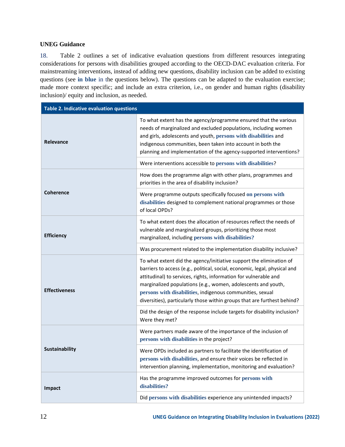#### **UNEG Guidance**

18. Table 2 outlines a set of indicative evaluation questions from different resources integrating considerations for persons with disabilities grouped according to the OECD-DAC evaluation criteria. For mainstreaming interventions, instead of adding new questions, disability inclusion can be added to existing questions (see **in blue** in the questions below). The questions can be adapted to the evaluation exercise; made more context specific; and include an extra criterion, i.e., on gender and human rights (disability inclusion)/ equity and inclusion, as needed.

<span id="page-11-0"></span>

| Table 2. Indicative evaluation questions |                                                                                                                                                                                                                                                                                                                                                                                                                                 |  |
|------------------------------------------|---------------------------------------------------------------------------------------------------------------------------------------------------------------------------------------------------------------------------------------------------------------------------------------------------------------------------------------------------------------------------------------------------------------------------------|--|
| <b>Relevance</b>                         | To what extent has the agency/programme ensured that the various<br>needs of marginalized and excluded populations, including women<br>and girls, adolescents and youth, persons with disabilities and<br>indigenous communities, been taken into account in both the<br>planning and implementation of the agency-supported interventions?                                                                                     |  |
|                                          | Were interventions accessible to persons with disabilities?                                                                                                                                                                                                                                                                                                                                                                     |  |
|                                          | How does the programme align with other plans, programmes and<br>priorities in the area of disability inclusion?                                                                                                                                                                                                                                                                                                                |  |
| <b>Coherence</b>                         | Were programme outputs specifically focused on persons with<br>disabilities designed to complement national programmes or those<br>of local OPDs?                                                                                                                                                                                                                                                                               |  |
| <b>Efficiency</b>                        | To what extent does the allocation of resources reflect the needs of<br>vulnerable and marginalized groups, prioritizing those most<br>marginalized, including persons with disabilities?                                                                                                                                                                                                                                       |  |
|                                          | Was procurement related to the implementation disability inclusive?                                                                                                                                                                                                                                                                                                                                                             |  |
| <b>Effectiveness</b>                     | To what extent did the agency/initiative support the elimination of<br>barriers to access (e.g., political, social, economic, legal, physical and<br>attitudinal) to services, rights, information for vulnerable and<br>marginalized populations (e.g., women, adolescents and youth,<br>persons with disabilities, indigenous communities, sexual<br>diversities), particularly those within groups that are furthest behind? |  |
|                                          | Did the design of the response include targets for disability inclusion?<br>Were they met?                                                                                                                                                                                                                                                                                                                                      |  |
|                                          | Were partners made aware of the importance of the inclusion of<br>persons with disabilities in the project?                                                                                                                                                                                                                                                                                                                     |  |
| Sustainability                           | Were OPDs included as partners to facilitate the identification of<br>persons with disabilities, and ensure their voices be reflected in<br>intervention planning, implementation, monitoring and evaluation?                                                                                                                                                                                                                   |  |
| Impact                                   | Has the programme improved outcomes for persons with<br>disabilities?                                                                                                                                                                                                                                                                                                                                                           |  |
|                                          | Did persons with disabilities experience any unintended impacts?                                                                                                                                                                                                                                                                                                                                                                |  |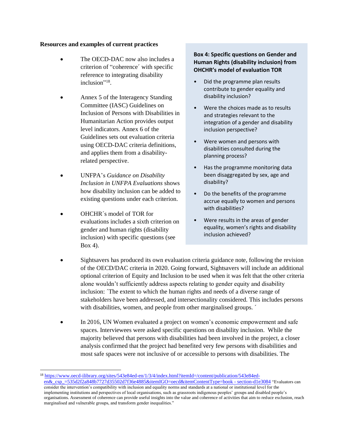#### **Resources and examples of current practices**

- The OECD-DAC now also includes a criterion of "coherence´ with specific reference to integrating disability inclusion"<sup>18</sup>.
- Annex 5 of the Interagency Standing Committee (IASC) Guidelines on Inclusion of Persons with Disabilities in Humanitarian Action provides output level indicators. Annex 6 of the Guidelines sets out evaluation criteria using OECD-DAC criteria definitions, and applies them from a disabilityrelated perspective.
- UNFPA's *Guidance on Disability Inclusion in UNFPA Evaluations* shows how disability inclusion can be added to existing questions under each criterion.
- OHCHR´s model of TOR for evaluations includes a sixth criterion on gender and human rights (disability inclusion) with specific questions (see Box 4).

#### <span id="page-12-0"></span>**Box 4: Specific questions on Gender and Human Rights (disability inclusion) from OHCHR's model of evaluation TOR**

- Did the programme plan results contribute to gender equality and disability inclusion?
- Were the choices made as to results and strategies relevant to the integration of a gender and disability inclusion perspective?
- Were women and persons with disabilities consulted during the planning process?
- Has the programme monitoring data been disaggregated by sex, age and disability?
- Do the benefits of the programme accrue equally to women and persons with disabilities?
- Were results in the areas of gender equality, women's rights and disability inclusion achieved?
- Sightsavers has produced its own evaluation criteria guidance note, following the revision of the OECD/DAC criteria in 2020. Going forward, Sightsavers will include an additional optional criterion of Equity and Inclusion to be used when it was felt that the other criteria alone wouldn't sufficiently address aspects relating to gender equity and disability inclusion: The extent to which the human rights and needs of a diverse range of stakeholders have been addressed, and intersectionality considered. This includes persons with disabilities, women, and people from other marginalised groups.  $\check{\phantom{a}}$
- In 2016, UN Women evaluated a project on women's economic empowerment and safe spaces. Interviewees were asked specific questions on disability inclusion. While the majority believed that persons with disabilities had been involved in the project, a closer analysis confirmed that the project had benefited very few persons with disabilities and most safe spaces were not inclusive of or accessible to persons with disabilities. The

<sup>18</sup> [https://www.oecd-ilibrary.org/sites/543e84ed-en/1/3/4/index.html?itemId=/content/publication/543e84ed](https://www.oecd-ilibrary.org/sites/543e84ed-en/1/3/4/index.html?itemId=/content/publication/543e84ed-en&_csp_=535d2f2a848b7727d35502d7f36e4885&itemIGO=oecd&itemContentType=book%20-%20section-d1e3084)[en&\\_csp\\_=535d2f2a848b7727d35502d7f36e4885&itemIGO=oecd&itemContentType=book -](https://www.oecd-ilibrary.org/sites/543e84ed-en/1/3/4/index.html?itemId=/content/publication/543e84ed-en&_csp_=535d2f2a848b7727d35502d7f36e4885&itemIGO=oecd&itemContentType=book%20-%20section-d1e3084) section-d1e3084 "Evaluators can consider the intervention's compatibility with inclusion and equality norms and standards at a national or institutional level for the implementing institutions and perspectives of local organisations, such as grassroots indigenous peoples' groups and disabled people's organisations. Assessment of coherence can provide useful insights into the value and coherence of activities that aim to reduce exclusion, reach marginalised and vulnerable groups, and transform gender inequalities."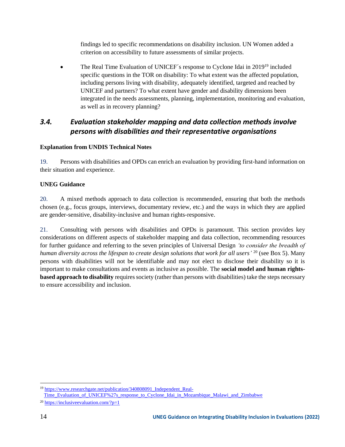findings led to specific recommendations on disability inclusion. UN Women added a criterion on accessibility to future assessments of similar projects.

The Real Time Evaluation of UNICEF's response to Cyclone Idai in 2019<sup>19</sup> included specific questions in the TOR on disability: To what extent was the affected population, including persons living with disability, adequately identified, targeted and reached by UNICEF and partners? To what extent have gender and disability dimensions been integrated in the needs assessments, planning, implementation, monitoring and evaluation, as well as in recovery planning?

## <span id="page-13-0"></span>*3.4. Evaluation stakeholder mapping and data collection methods involve persons with disabilities and their representative organisations*

#### **Explanation from UNDIS Technical Notes**

19. Persons with disabilities and OPDs can enrich an evaluation by providing first-hand information on their situation and experience.

#### **UNEG Guidance**

20. A mixed methods approach to data collection is recommended, ensuring that both the methods chosen (e.g., focus groups, interviews, documentary review, etc.) and the ways in which they are applied are gender-sensitive, disability-inclusive and human rights-responsive.

21. Consulting with persons with disabilities and OPDs is paramount. This section provides key considerations on different aspects of stakeholder mapping and data collection, recommending resources for further guidance and referring to the seven principles of Universal Design *'to consider the breadth of human diversity across the lifespan to create design solutions that work for all users'* <sup>20</sup> (see Box 5). Many persons with disabilities will not be identifiable and may not elect to disclose their disability so it is important to make consultations and events as inclusive as possible. The **social model and human rightsbased approach to disability** requires society (rather than persons with disabilities) take the steps necessary to ensure accessibility and inclusion.

<sup>&</sup>lt;sup>19</sup> [https://www.researchgate.net/publication/340808091\\_Independent\\_Real-](https://www.researchgate.net/publication/340808091_Independent_Real-Time_Evaluation_of_UNICEF%27s_response_to_Cyclone_Idai_in_Mozambique_Malawi_and_Zimbabwe)

[Time\\_Evaluation\\_of\\_UNICEF%27s\\_response\\_to\\_Cyclone\\_Idai\\_in\\_Mozambique\\_Malawi\\_and\\_Zimbabwe](https://www.researchgate.net/publication/340808091_Independent_Real-Time_Evaluation_of_UNICEF%27s_response_to_Cyclone_Idai_in_Mozambique_Malawi_and_Zimbabwe)

 $^{20}$  https://inclusiveevaluation.com/?p=1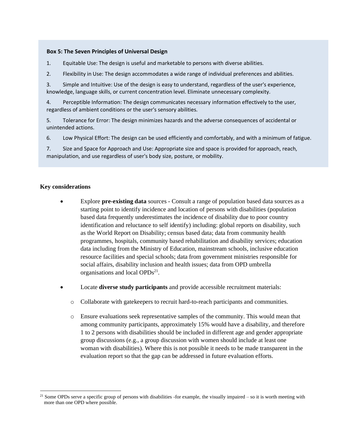#### <span id="page-14-0"></span>**Box 5: The Seven Principles of Universal Design**

- 1. Equitable Use: The design is useful and marketable to persons with diverse abilities.
- 2. Flexibility in Use: The design accommodates a wide range of individual preferences and abilities.

3. Simple and Intuitive: Use of the design is easy to understand, regardless of the user's experience, knowledge, language skills, or current concentration level. Eliminate unnecessary complexity.

4. Perceptible Information: The design communicates necessary information effectively to the user, regardless of ambient conditions or the user's sensory abilities.

5. Tolerance for Error: The design minimizes hazards and the adverse consequences of accidental or unintended actions.

6. Low Physical Effort: The design can be used efficiently and comfortably, and with a minimum of fatigue.

7. Size and Space for Approach and Use: Appropriate size and space is provided for approach, reach, manipulation, and use regardless of user's body size, posture, or mobility.

#### **Key considerations**

- Explore **pre-existing data** sources Consult a range of population based data sources as a starting point to identify incidence and location of persons with disabilities (population based data frequently underestimates the incidence of disability due to poor country identification and reluctance to self identify) including: global reports on disability, such as the World Report on Disability; census based data; data from community health programmes, hospitals, community based rehabilitation and disability services; education data including from the Ministry of Education, mainstream schools, inclusive education resource facilities and special schools; data from government ministries responsible for social affairs, disability inclusion and health issues; data from OPD umbrella organisations and local OPDs<sup>21</sup>.
- Locate **diverse study participants** and provide accessible recruitment materials:
	- o Collaborate with gatekeepers to recruit hard-to-reach participants and communities.
	- o Ensure evaluations seek representative samples of the community. This would mean that among community participants, approximately 15% would have a disability, and therefore 1 to 2 persons with disabilities should be included in different age and gender appropriate group discussions (e.g., a group discussion with women should include at least one woman with disabilities). Where this is not possible it needs to be made transparent in the evaluation report so that the gap can be addressed in future evaluation efforts.

 $21$  Some OPDs serve a specific group of persons with disabilities -for example, the visually impaired – so it is worth meeting with more than one OPD where possible.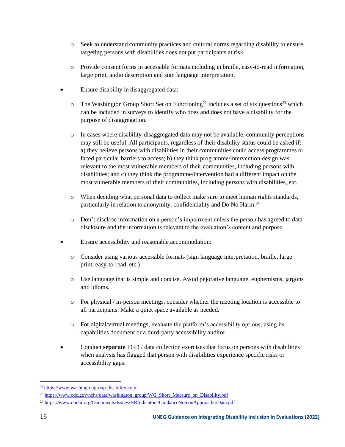- o Seek to understand community practices and cultural norms regarding disability to ensure targeting persons with disabilities does not put participants at risk.
- o Provide consent forms in accessible formats including in braille, easy-to-read information, large print, audio description and sign language interpretation.
- Ensure disability in disaggregated data:
	- $\circ$  The Washington Group Short Set on Functioning<sup>22</sup> includes a set of six questions<sup>23</sup> which can be included in surveys to identify who does and does not have a disability for the purpose of disaggregation.
	- o In cases where disability-disaggregated data may not be available, community perceptions may still be useful. All participants, regardless of their disability status could be asked if: a) they believe persons with disabilities in their communities could access programmes or faced particular barriers to access; b) they think programme/intervention design was relevant to the most vulnerable members of their communities, including persons with disabilities; and c) they think the programme/intervention had a different impact on the most vulnerable members of their communities, including persons with disabilities, etc.
	- o When deciding what personal data to collect make sure to meet human rights standards, particularly in relation to anonymity, confidentiality and Do No Harm.<sup>24</sup>
	- o Don't disclose information on a person's impairment unless the person has agreed to data disclosure and the information is relevant to the evaluation's content and purpose.
- Ensure accessibility and reasonable accommodation:
	- o Consider using various accessible formats (sign language interpretation, braille, large print, easy-to-read, etc.)
	- o Use language that is simple and concise. Avoid pejorative language, euphemisms, jargons and idioms.
	- $\circ$  For physical / in-person meetings, consider whether the meeting location is accessible to all participants. Make a quiet space available as needed.
	- $\circ$  For digital/virtual meetings, evaluate the platform's accessibility options, using its capabilities document or a third-party accessibility auditor.
- Conduct **separate** FGD / data collection exercises that focus on persons with disabilities when analysis has flagged that person with disabilities experience specific risks or accessibility gaps.

<sup>22</sup> https://www.washingtongroup-disability.com

<sup>&</sup>lt;sup>23</sup> [https://www.cdc.gov/nchs/data/washington\\_group/WG\\_Short\\_Measure\\_on\\_Disability.pdf](https://www.cdc.gov/nchs/data/washington_group/WG_Short_Measure_on_Disability.pdf)

<sup>24</sup> <https://www.ohchr.org/Documents/Issues/HRIndicators/GuidanceNoteonApproachtoData.pdf>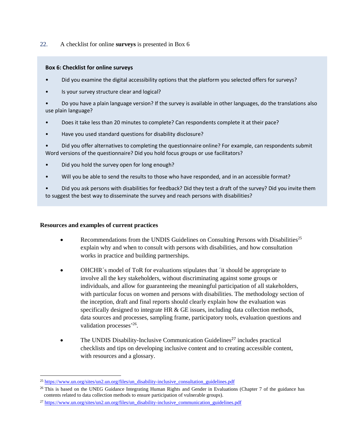22. A checklist for online **surveys** is presented in Box 6

#### <span id="page-16-0"></span>**Box 6: Checklist for online surveys**

- Did you examine the digital accessibility options that the platform you selected offers for surveys?
- Is your survey structure clear and logical?

• Do you have a plain language version? If the survey is available in other languages, do the translations also use plain language?

- Does it take less than 20 minutes to complete? Can respondents complete it at their pace?
- Have you used standard questions for disability disclosure?

• Did you offer alternatives to completing the questionnaire online? For example, can respondents submit Word versions of the questionnaire? Did you hold focus groups or use facilitators?

- Did you hold the survey open for long enough?
- Will you be able to send the results to those who have responded, and in an accessible format?

• Did you ask persons with disabilities for feedback? Did they test a draft of the survey? Did you invite them to suggest the best way to disseminate the survey and reach persons with disabilities?

#### **Resources and examples of current practices**

- Recommendations from the UNDIS Guidelines on Consulting Persons with Disabilities<sup>25</sup> explain why and when to consult with persons with disabilities, and how consultation works in practice and building partnerships.
- OHCHR´s model of ToR for evaluations stipulates that ´it should be appropriate to involve all the key stakeholders, without discriminating against some groups or individuals, and allow for guaranteeing the meaningful participation of all stakeholders, with particular focus on women and persons with disabilities. The methodology section of the inception, draft and final reports should clearly explain how the evaluation was specifically designed to integrate HR & GE issues, including data collection methods, data sources and processes, sampling frame, participatory tools, evaluation questions and validation processes<sup>,26</sup>.
- The UNDIS Disability-Inclusive Communication Guidelines<sup>27</sup> includes practical checklists and tips on developing inclusive content and to creating accessible content, with resources and a glossary.

<sup>25</sup> [https://www.un.org/sites/un2.un.org/files/un\\_disability-inclusive\\_consultation\\_guidelines.pdf](https://www.un.org/sites/un2.un.org/files/un_disability-inclusive_consultation_guidelines.pdf)

<sup>&</sup>lt;sup>26</sup> This is based on the UNEG Guidance Integrating Human Rights and Gender in Evaluations (Chapter 7 of the guidance has contents related to data collection methods to ensure participation of vulnerable groups).

<sup>&</sup>lt;sup>27</sup> [https://www.un.org/sites/un2.un.org/files/un\\_disability-inclusive\\_communication\\_guidelines.pdf](https://www.un.org/sites/un2.un.org/files/un_disability-inclusive_communication_guidelines.pdf)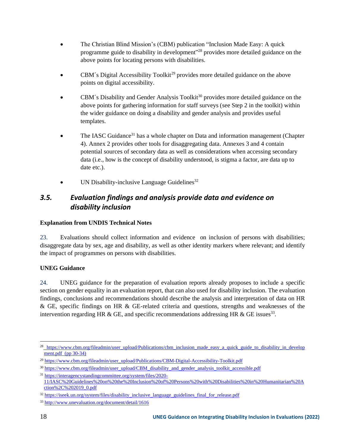- The Christian Blind Mission's (CBM) publication "Inclusion Made Easy: A quick programme guide to disability in development"<sup>28</sup> provides more detailed guidance on the above points for locating persons with disabilities.
- CBM's Digital Accessibility Toolkit<sup>29</sup> provides more detailed guidance on the above points on digital accessibility.
- $CBM's$  Disability and Gender Analysis Toolkit<sup>30</sup> provides more detailed guidance on the above points for gathering information for staff surveys (see Step 2 in the toolkit) within the wider guidance on doing a disability and gender analysis and provides useful templates.
- The IASC Guidance<sup>31</sup> has a whole chapter on Data and information management (Chapter 4). Annex 2 provides other tools for disaggregating data. Annexes 3 and 4 contain potential sources of secondary data as well as considerations when accessing secondary data (i.e., how is the concept of disability understood, is stigma a factor, are data up to date etc.).
- UN Disability-inclusive Language Guidelines<sup>32</sup>

# <span id="page-17-0"></span>*3.5. Evaluation findings and analysis provide data and evidence on disability inclusion*

#### **Explanation from UNDIS Technical Notes**

23. Evaluations should collect information and evidence on inclusion of persons with disabilities; disaggregate data by sex, age and disability, as well as other identity markers where relevant; and identify the impact of programmes on persons with disabilities.

#### **UNEG Guidance**

24. UNEG guidance for the preparation of evaluation reports already proposes to include a specific section on gender equality in an evaluation report, that can also used for disability inclusion. The evaluation findings, conclusions and recommendations should describe the analysis and interpretation of data on HR & GE, specific findings on HR & GE-related criteria and questions, strengths and weaknesses of the intervention regarding HR & GE, and specific recommendations addressing HR & GE issues<sup>33</sup>.

<sup>&</sup>lt;sup>28</sup> [https://www.cbm.org/fileadmin/user\\_upload/Publications/cbm\\_inclusion\\_made\\_easy\\_a\\_quick\\_guide\\_to\\_disability\\_in\\_develop](https://www.cbm.org/fileadmin/user_upload/Publications/cbm_inclusion_made_easy_a_quick_guide_to_disability_in_development.pdf) [ment.pdf](https://www.cbm.org/fileadmin/user_upload/Publications/cbm_inclusion_made_easy_a_quick_guide_to_disability_in_development.pdf) (pp 30-34)

<sup>29</sup> [https://www.cbm.org/fileadmin/user\\_upload/Publications/CBM-Digital-Accessibility-Toolkit.pdf](https://www.cbm.org/fileadmin/user_upload/Publications/CBM-Digital-Accessibility-Toolkit.pdf)

<sup>&</sup>lt;sup>30</sup> [https://www.cbm.org/fileadmin/user\\_upload/CBM\\_disability\\_and\\_gender\\_analysis\\_toolkit\\_accessible.pdf](https://www.cbm.org/fileadmin/user_upload/CBM_disability_and_gender_analysis_toolkit_accessible.pdf)

<sup>31</sup> [https://interagencystandingcommittee.org/system/files/2020-](https://interagencystandingcommittee.org/system/files/2020-11/IASC%20Guidelines%20on%20the%20Inclusion%20of%20Persons%20with%20Disabilities%20in%20Humanitarian%20Action%2C%202019_0.pdf) [11/IASC%20Guidelines%20on%20the%20Inclusion%20of%20Persons%20with%20Disabilities%20in%20Humanitarian%20A](https://interagencystandingcommittee.org/system/files/2020-11/IASC%20Guidelines%20on%20the%20Inclusion%20of%20Persons%20with%20Disabilities%20in%20Humanitarian%20Action%2C%202019_0.pdf) [ction%2C%202019\\_0.pdf](https://interagencystandingcommittee.org/system/files/2020-11/IASC%20Guidelines%20on%20the%20Inclusion%20of%20Persons%20with%20Disabilities%20in%20Humanitarian%20Action%2C%202019_0.pdf)

<sup>&</sup>lt;sup>32</sup> [https://iseek.un.org/system/files/disability\\_inclusive\\_language\\_guidelines\\_final\\_for\\_release.pdf](https://iseek.un.org/system/files/disability_inclusive_language_guidelines_final_for_release.pdf)

<sup>33</sup> <http://www.unevaluation.org/document/detail/1616>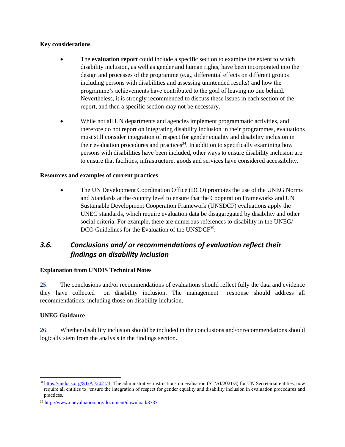#### **Key considerations**

- The **evaluation report** could include a specific section to examine the extent to which disability inclusion, as well as gender and human rights, have been incorporated into the design and processes of the programme (e.g., differential effects on different groups including persons with disabilities and assessing unintended results) and how the programme's achievements have contributed to the goal of leaving no one behind. Nevertheless, it is strongly recommended to discuss these issues in each section of the report, and then a specific section may not be necessary.
- While not all UN departments and agencies implement programmatic activities, and therefore do not report on integrating disability inclusion in their programmes, evaluations must still consider integration of respect for gender equality and disability inclusion in their evaluation procedures and practices<sup>34</sup>. In addition to specifically examining how persons with disabilities have been included, other ways to ensure disability inclusion are to ensure that facilities, infrastructure, goods and services have considered accessibility.

#### **Resources and examples of current practices**

• The UN Development Coordination Office (DCO) promotes the use of the UNEG Norms and Standards at the country level to ensure that the Cooperation Frameworks and UN Sustainable Development Cooperation Framework (UNSDCF) evaluations apply the UNEG standards, which require evaluation data be disaggregated by disability and other social criteria. For example, there are numerous references to disability in the UNEG/ DCO Guidelines for the Evaluation of the UNSDCF<sup>35</sup>.

# <span id="page-18-0"></span>*3.6. Conclusions and/ or recommendations of evaluation reflect their findings on disability inclusion*

#### **Explanation from UNDIS Technical Notes**

25. The conclusions and/or recommendations of evaluations should reflect fully the data and evidence they have collected on disability inclusion. The management response should address all recommendations, including those on disability inclusion.

#### **UNEG Guidance**

26. Whether disability inclusion should be included in the conclusions and/or recommendations should logically stem from the analysis in the findings section.

 $34$  <https://undocs.org/ST/AI/2021/3>. The administrative instructions on evaluation (ST/AI/2021/3) for UN Secretariat entities, now require all entities to "ensure the integration of respect for gender equality and disability inclusion in evaluation procedures and practices.

<sup>35</sup> <http://www.unevaluation.org/document/download/3737>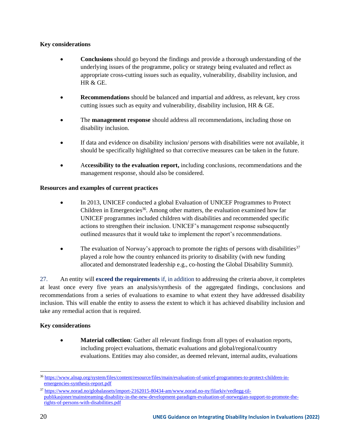#### **Key considerations**

- **Conclusions** should go beyond the findings and provide a thorough understanding of the underlying issues of the programme, policy or strategy being evaluated and reflect as appropriate cross-cutting issues such as equality, vulnerability, disability inclusion, and HR & GE.
- **Recommendations** should be balanced and impartial and address, as relevant, key cross cutting issues such as equity and vulnerability, disability inclusion, HR & GE.
- The **management response** should address all recommendations, including those on disability inclusion.
- If data and evidence on disability inclusion/ persons with disabilities were not available, it should be specifically highlighted so that corrective measures can be taken in the future.
- A**ccessibility to the evaluation report,** including conclusions, recommendations and the management response, should also be considered.

#### **Resources and examples of current practices**

- In 2013, UNICEF conducted a global Evaluation of UNICEF Programmes to Protect Children in Emergencies<sup>36</sup>. Among other matters, the evaluation examined how far UNICEF programmes included children with disabilities and recommended specific actions to strengthen their inclusion. UNICEF's management response subsequently outlined measures that it would take to implement the report's recommendations.
- The evaluation of Norway's approach to promote the rights of persons with disabilities<sup>37</sup> played a role how the country enhanced its priority to disability (with new funding allocated and demonstrated leadership e.g., co-hosting the Global Disability Summit).

27. An entity will **exceed the requirements** if, in addition to addressing the criteria above, it completes at least once every five years an analysis/synthesis of the aggregated findings, conclusions and recommendations from a series of evaluations to examine to what extent they have addressed disability inclusion. This will enable the entity to assess the extent to which it has achieved disability inclusion and take any remedial action that is required.

#### **Key considerations**

**Material collection**: Gather all relevant findings from all types of evaluation reports, including project evaluations, thematic evaluations and global/regional/country evaluations. Entities may also consider, as deemed relevant, internal audits, evaluations

<sup>36</sup> [https://www.alnap.org/system/files/content/resource/files/main/evaluation-of-unicef-programmes-to-protect-children-in](https://www.alnap.org/system/files/content/resource/files/main/evaluation-of-unicef-programmes-to-protect-children-in-emergencies-synthesis-report.pdf)[emergencies-synthesis-report.pdf](https://www.alnap.org/system/files/content/resource/files/main/evaluation-of-unicef-programmes-to-protect-children-in-emergencies-synthesis-report.pdf)

<sup>37</sup> [https://www.norad.no/globalassets/import-2162015-80434-am/www.norad.no-ny/filarkiv/vedlegg-til](https://www.norad.no/globalassets/import-2162015-80434-am/www.norad.no-ny/filarkiv/vedlegg-til-publikasjoner/mainstreaming-disability-in-the-new-development-paradigm-evaluation-of-norwegian-support-to-promote-the-rights-of-persons-with-disabilities.pdf)[publikasjoner/mainstreaming-disability-in-the-new-development-paradigm-evaluation-of-norwegian-support-to-promote-the](https://www.norad.no/globalassets/import-2162015-80434-am/www.norad.no-ny/filarkiv/vedlegg-til-publikasjoner/mainstreaming-disability-in-the-new-development-paradigm-evaluation-of-norwegian-support-to-promote-the-rights-of-persons-with-disabilities.pdf)[rights-of-persons-with-disabilities.pdf](https://www.norad.no/globalassets/import-2162015-80434-am/www.norad.no-ny/filarkiv/vedlegg-til-publikasjoner/mainstreaming-disability-in-the-new-development-paradigm-evaluation-of-norwegian-support-to-promote-the-rights-of-persons-with-disabilities.pdf)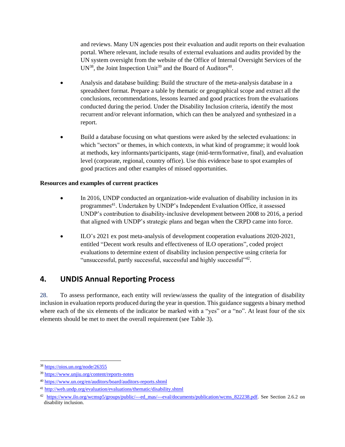and reviews. Many UN agencies post their evaluation and audit reports on their evaluation portal. Where relevant, include results of external evaluations and audits provided by the UN system oversight from the website of the Office of Internal Oversight Services of the UN<sup>38</sup>, the Joint Inspection Unit<sup>39</sup> and the Board of Auditors<sup>40</sup>.

- Analysis and database building: Build the structure of the meta-analysis database in a spreadsheet format. Prepare a table by thematic or geographical scope and extract all the conclusions, recommendations, lessons learned and good practices from the evaluations conducted during the period. Under the Disability Inclusion criteria, identify the most recurrent and/or relevant information, which can then be analyzed and synthesized in a report.
- Build a database focusing on what questions were asked by the selected evaluations: in which "sectors" or themes, in which contexts, in what kind of programme; it would look at methods, key informants/participants, stage (mid-term/formative, final), and evaluation level (corporate, regional, country office). Use this evidence base to spot examples of good practices and other examples of missed opportunities.

#### **Resources and examples of current practices**

- In 2016, UNDP conducted an organization-wide evaluation of disability inclusion in its programmes<sup>41</sup>. Undertaken by UNDP's Independent Evaluation Office, it assessed UNDP's contribution to disability-inclusive development between 2008 to 2016, a period that aligned with UNDP's strategic plans and began when the CRPD came into force.
- ILO's 2021 ex post meta-analysis of development cooperation evaluations 2020-2021, entitled "Decent work results and effectiveness of ILO operations", coded project evaluations to determine extent of disability inclusion perspective using criteria for "unsuccessful, partly successful, successful and highly successful"<sup>42</sup>.

# <span id="page-20-0"></span>**4. UNDIS Annual Reporting Process**

28. To assess performance, each entity will review/assess the quality of the integration of disability inclusion in evaluation reports produced during the year in question. This guidance suggests a binary method where each of the six elements of the indicator be marked with a "yes" or a "no". At least four of the six elements should be met to meet the overall requirement (see Table 3).

<sup>38</sup> <https://oios.un.org/node/26355>

<sup>39</sup> <https://www.unjiu.org/content/reports-notes>

<sup>40</sup> <https://www.un.org/en/auditors/board/auditors-reports.shtml>

<sup>41</sup> <http://web.undp.org/evaluation/evaluations/thematic/disability.shtml>

<sup>&</sup>lt;sup>42</sup> [https://www.ilo.org/wcmsp5/groups/public/---ed\\_mas/---eval/documents/publication/wcms\\_822238.pdf.](https://www.ilo.org/wcmsp5/groups/public/---ed_mas/---eval/documents/publication/wcms_822238.pdf) See Section 2.6.2 on disability inclusion.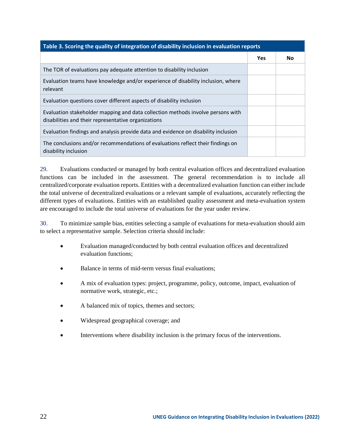<span id="page-21-0"></span>

| Table 3. Scoring the quality of integration of disability inclusion in evaluation reports                                              |     |           |  |
|----------------------------------------------------------------------------------------------------------------------------------------|-----|-----------|--|
|                                                                                                                                        | Yes | <b>No</b> |  |
| The TOR of evaluations pay adequate attention to disability inclusion                                                                  |     |           |  |
| Evaluation teams have knowledge and/or experience of disability inclusion, where<br>relevant                                           |     |           |  |
| Evaluation questions cover different aspects of disability inclusion                                                                   |     |           |  |
| Evaluation stakeholder mapping and data collection methods involve persons with<br>disabilities and their representative organizations |     |           |  |
| Evaluation findings and analysis provide data and evidence on disability inclusion                                                     |     |           |  |
| The conclusions and/or recommendations of evaluations reflect their findings on<br>disability inclusion                                |     |           |  |

29. Evaluations conducted or managed by both central evaluation offices and decentralized evaluation functions can be included in the assessment. The general recommendation is to include all centralized/corporate evaluation reports. Entities with a decentralized evaluation function can either include the total universe of decentralized evaluations or a relevant sample of evaluations, accurately reflecting the different types of evaluations. Entities with an established quality assessment and meta-evaluation system are encouraged to include the total universe of evaluations for the year under review.

30. To minimize sample bias, entities selecting a sample of evaluations for meta-evaluation should aim to select a representative sample. Selection criteria should include:

- Evaluation managed/conducted by both central evaluation offices and decentralized evaluation functions;
- Balance in terms of mid-term versus final evaluations:
- A mix of evaluation types: project, programme, policy, outcome, impact, evaluation of normative work, strategic, etc.;
- A balanced mix of topics, themes and sectors;
- Widespread geographical coverage; and
- Interventions where disability inclusion is the primary focus of the interventions.